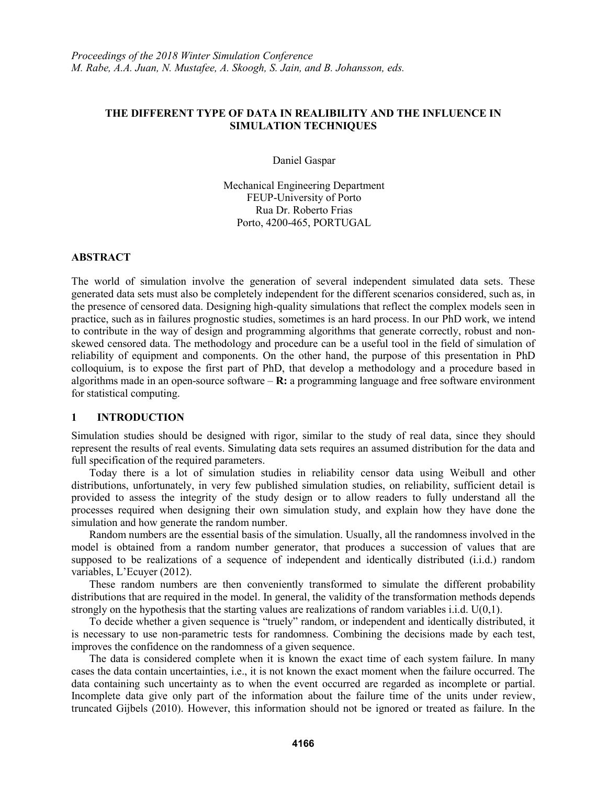# **THE DIFFERENT TYPE OF DATA IN REALIBILITY AND THE INFLUENCE IN SIMULATION TECHNIQUES**

Daniel Gaspar

Mechanical Engineering Department FEUP-University of Porto Rua Dr. Roberto Frias Porto, 4200-465, PORTUGAL

## **ABSTRACT**

The world of simulation involve the generation of several independent simulated data sets. These generated data sets must also be completely independent for the different scenarios considered, such as, in the presence of censored data. Designing high-quality simulations that reflect the complex models seen in practice, such as in failures prognostic studies, sometimes is an hard process. In our PhD work, we intend to contribute in the way of design and programming algorithms that generate correctly, robust and nonskewed censored data. The methodology and procedure can be a useful tool in the field of simulation of reliability of equipment and components. On the other hand, the purpose of this presentation in PhD colloquium, is to expose the first part of PhD, that develop a methodology and a procedure based in algorithms made in an open-source software – **R:** a programming language and free software environment for statistical computing.

# **1 INTRODUCTION**

Simulation studies should be designed with rigor, similar to the study of real data, since they should represent the results of real events. Simulating data sets requires an assumed distribution for the data and full specification of the required parameters.

Today there is a lot of simulation studies in reliability censor data using Weibull and other distributions, unfortunately, in very few published simulation studies, on reliability, sufficient detail is provided to assess the integrity of the study design or to allow readers to fully understand all the processes required when designing their own simulation study, and explain how they have done the simulation and how generate the random number.

Random numbers are the essential basis of the simulation. Usually, all the randomness involved in the model is obtained from a random number generator, that produces a succession of values that are supposed to be realizations of a sequence of independent and identically distributed (i.i.d.) random variables, L'Ecuyer (2012).

These random numbers are then conveniently transformed to simulate the different probability distributions that are required in the model. In general, the validity of the transformation methods depends strongly on the hypothesis that the starting values are realizations of random variables i.i.d. U(0,1).

To decide whether a given sequence is "truely" random, or independent and identically distributed, it is necessary to use non-parametric tests for randomness. Combining the decisions made by each test, improves the confidence on the randomness of a given sequence.

The data is considered complete when it is known the exact time of each system failure. In many cases the data contain uncertainties, i.e., it is not known the exact moment when the failure occurred. The data containing such uncertainty as to when the event occurred are regarded as incomplete or partial. Incomplete data give only part of the information about the failure time of the units under review, truncated Gijbels (2010). However, this information should not be ignored or treated as failure. In the